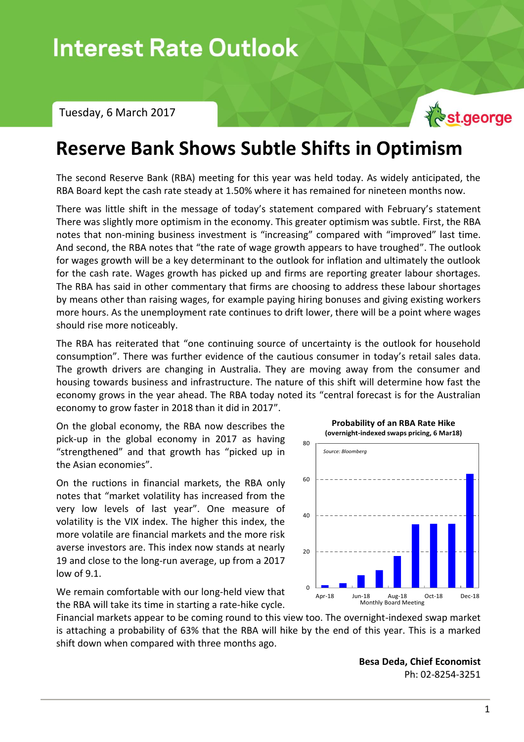Tuesday, 6 March 2017



## **Reserve Bank Shows Subtle Shifts in Optimism**

The second Reserve Bank (RBA) meeting for this year was held today. As widely anticipated, the RBA Board kept the cash rate steady at 1.50% where it has remained for nineteen months now.

There was little shift in the message of today's statement compared with February's statement There was slightly more optimism in the economy. This greater optimism was subtle. First, the RBA notes that non-mining business investment is "increasing" compared with "improved" last time. And second, the RBA notes that "the rate of wage growth appears to have troughed". The outlook for wages growth will be a key determinant to the outlook for inflation and ultimately the outlook for the cash rate. Wages growth has picked up and firms are reporting greater labour shortages. The RBA has said in other commentary that firms are choosing to address these labour shortages by means other than raising wages, for example paying hiring bonuses and giving existing workers more hours. As the unemployment rate continues to drift lower, there will be a point where wages should rise more noticeably.

The RBA has reiterated that "one continuing source of uncertainty is the outlook for household consumption". There was further evidence of the cautious consumer in today's retail sales data. The growth drivers are changing in Australia. They are moving away from the consumer and housing towards business and infrastructure. The nature of this shift will determine how fast the economy grows in the year ahead. The RBA today noted its "central forecast is for the Australian economy to grow faster in 2018 than it did in 2017".

On the global economy, the RBA now describes the pick-up in the global economy in 2017 as having "strengthened" and that growth has "picked up in the Asian economies".

On the ructions in financial markets, the RBA only notes that "market volatility has increased from the very low levels of last year". One measure of volatility is the VIX index. The higher this index, the more volatile are financial markets and the more risk averse investors are. This index now stands at nearly 19 and close to the long-run average, up from a 2017 low of 9.1.

We remain comfortable with our long-held view that the RBA will take its time in starting a rate-hike cycle.

shift down when compared with three months ago.

Financial markets appear to be coming round to this view too. The overnight-indexed swap market is attaching a probability of 63% that the RBA will hike by the end of this year. This is a marked  $\Omega$ Apr-18 Jun-18 Aug-18 Oct-18 Dec-18 Monthly Board Meeting

**Besa Deda, Chief Economist** Ph: 02-8254-3251